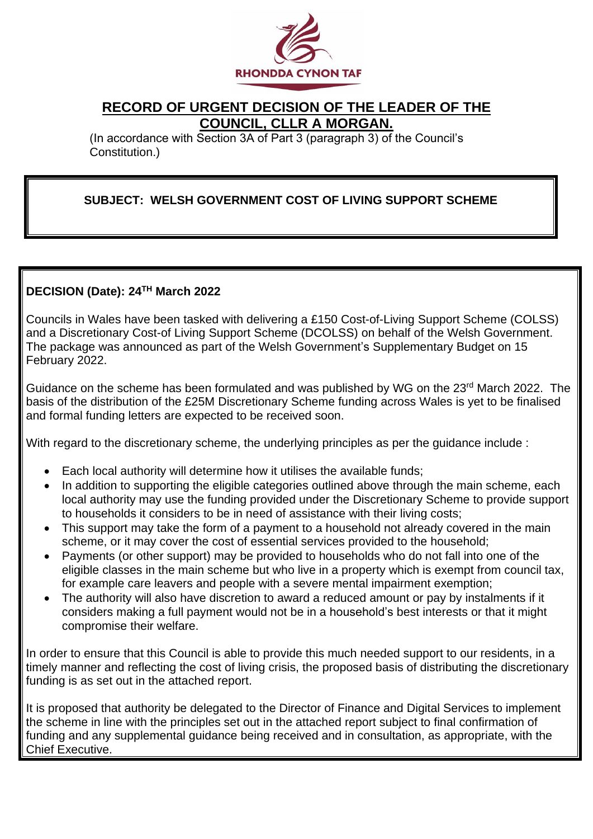

# **RECORD OF URGENT DECISION OF THE LEADER OF THE COUNCIL, CLLR A MORGAN.**

(In accordance with Section 3A of Part 3 (paragraph 3) of the Council's Constitution.)

## **SUBJECT: WELSH GOVERNMENT COST OF LIVING SUPPORT SCHEME**

## **DECISION (Date): 24TH March 2022**

Councils in Wales have been tasked with delivering a £150 Cost-of-Living Support Scheme (COLSS) and a Discretionary Cost-of Living Support Scheme (DCOLSS) on behalf of the Welsh Government. The package was announced as part of the Welsh Government's Supplementary Budget on 15 February 2022.

Guidance on the scheme has been formulated and was published by WG on the 23<sup>rd</sup> March 2022. The basis of the distribution of the £25M Discretionary Scheme funding across Wales is yet to be finalised and formal funding letters are expected to be received soon.

With regard to the discretionary scheme, the underlying principles as per the quidance include :

- Each local authority will determine how it utilises the available funds;
- In addition to supporting the eligible categories outlined above through the main scheme, each local authority may use the funding provided under the Discretionary Scheme to provide support to households it considers to be in need of assistance with their living costs;
- This support may take the form of a payment to a household not already covered in the main scheme, or it may cover the cost of essential services provided to the household;
- Payments (or other support) may be provided to households who do not fall into one of the eligible classes in the main scheme but who live in a property which is exempt from council tax, for example care leavers and people with a severe mental impairment exemption;
- The authority will also have discretion to award a reduced amount or pay by instalments if it considers making a full payment would not be in a household's best interests or that it might compromise their welfare.

In order to ensure that this Council is able to provide this much needed support to our residents, in a timely manner and reflecting the cost of living crisis, the proposed basis of distributing the discretionary funding is as set out in the attached report.

It is proposed that authority be delegated to the Director of Finance and Digital Services to implement the scheme in line with the principles set out in the attached report subject to final confirmation of funding and any supplemental guidance being received and in consultation, as appropriate, with the Chief Executive.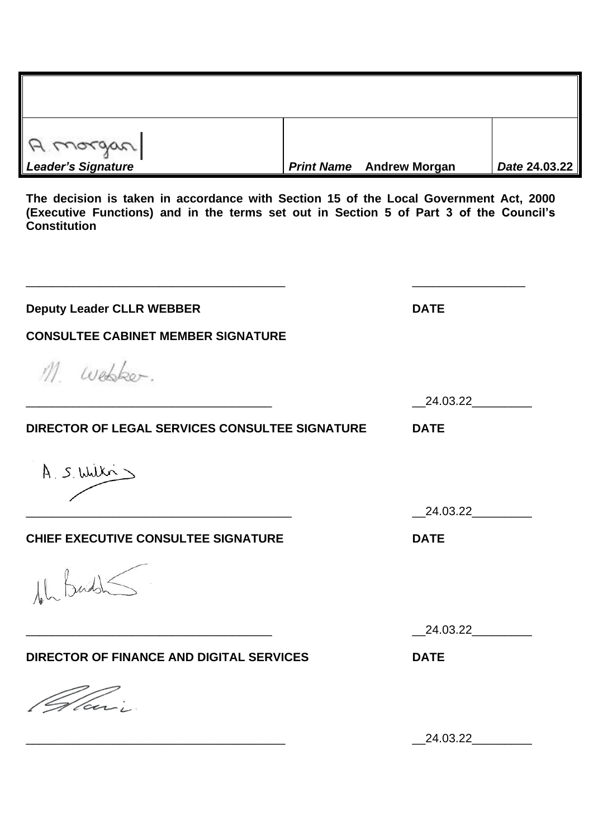| A morgan<br>Leader's Signature | <b>Print Name</b> Andrew Morgan | Date 24.03.22 |
|--------------------------------|---------------------------------|---------------|

**The decision is taken in accordance with Section 15 of the Local Government Act, 2000 (Executive Functions) and in the terms set out in Section 5 of Part 3 of the Council's Constitution**

| <b>Deputy Leader CLLR WEBBER</b>                      | <b>DATE</b> |
|-------------------------------------------------------|-------------|
| <b>CONSULTEE CABINET MEMBER SIGNATURE</b>             |             |
| M. Webker.                                            |             |
|                                                       | 24.03.22    |
| <b>DIRECTOR OF LEGAL SERVICES CONSULTEE SIGNATURE</b> | <b>DATE</b> |
| A S. Wilki                                            |             |
|                                                       | 24.03.22    |
| <b>CHIEF EXECUTIVE CONSULTEE SIGNATURE</b>            | <b>DATE</b> |
| leh Buddh                                             |             |
|                                                       | 24.03.22    |
| <b>DIRECTOR OF FINANCE AND DIGITAL SERVICES</b>       | <b>DATE</b> |
| Vlari                                                 |             |
|                                                       | 24.03.22    |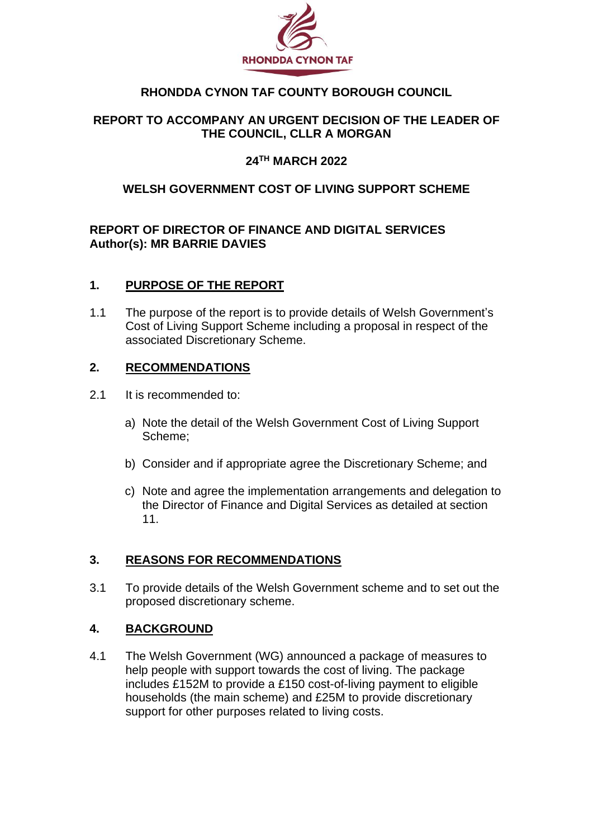

## **RHONDDA CYNON TAF COUNTY BOROUGH COUNCIL**

## **REPORT TO ACCOMPANY AN URGENT DECISION OF THE LEADER OF THE COUNCIL, CLLR A MORGAN**

## **24TH MARCH 2022**

## **WELSH GOVERNMENT COST OF LIVING SUPPORT SCHEME**

#### **REPORT OF DIRECTOR OF FINANCE AND DIGITAL SERVICES Author(s): MR BARRIE DAVIES**

#### **1. PURPOSE OF THE REPORT**

1.1 The purpose of the report is to provide details of Welsh Government's Cost of Living Support Scheme including a proposal in respect of the associated Discretionary Scheme.

#### **2. RECOMMENDATIONS**

- 2.1 It is recommended to:
	- a) Note the detail of the Welsh Government Cost of Living Support Scheme;
	- b) Consider and if appropriate agree the Discretionary Scheme; and
	- c) Note and agree the implementation arrangements and delegation to the Director of Finance and Digital Services as detailed at section 11.

## **3. REASONS FOR RECOMMENDATIONS**

3.1 To provide details of the Welsh Government scheme and to set out the proposed discretionary scheme.

#### **4. BACKGROUND**

4.1 The Welsh Government (WG) announced a package of measures to help people with support towards the cost of living. The package includes £152M to provide a £150 cost-of-living payment to eligible households (the main scheme) and £25M to provide discretionary support for other purposes related to living costs.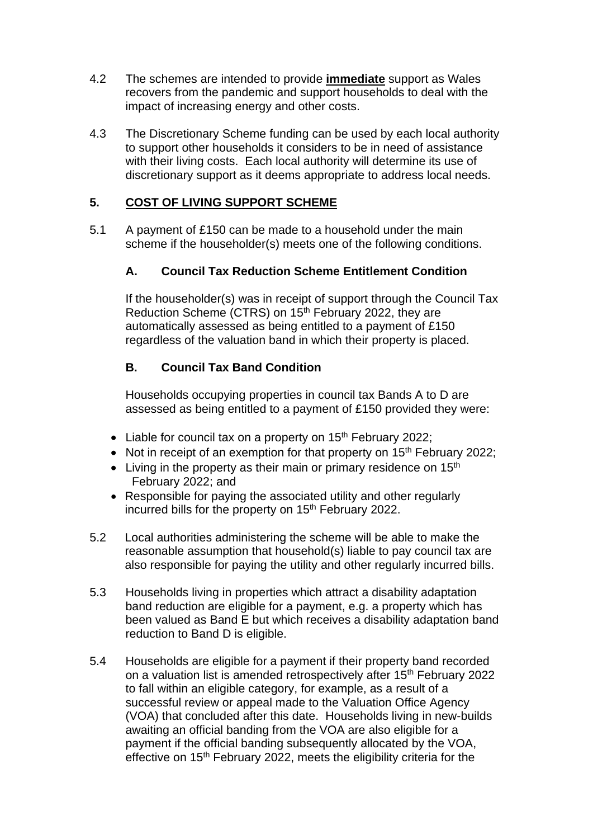- 4.2 The schemes are intended to provide **immediate** support as Wales recovers from the pandemic and support households to deal with the impact of increasing energy and other costs.
- 4.3 The Discretionary Scheme funding can be used by each local authority to support other households it considers to be in need of assistance with their living costs. Each local authority will determine its use of discretionary support as it deems appropriate to address local needs.

## **5. COST OF LIVING SUPPORT SCHEME**

5.1 A payment of £150 can be made to a household under the main scheme if the householder(s) meets one of the following conditions.

## **A. Council Tax Reduction Scheme Entitlement Condition**

If the householder(s) was in receipt of support through the Council Tax Reduction Scheme (CTRS) on 15<sup>th</sup> February 2022, they are automatically assessed as being entitled to a payment of £150 regardless of the valuation band in which their property is placed.

## **B. Council Tax Band Condition**

Households occupying properties in council tax Bands A to D are assessed as being entitled to a payment of £150 provided they were:

- Liable for council tax on a property on  $15<sup>th</sup>$  February 2022;
- Not in receipt of an exemption for that property on 15<sup>th</sup> February 2022;
- Living in the property as their main or primary residence on  $15<sup>th</sup>$ February 2022; and
- Responsible for paying the associated utility and other regularly incurred bills for the property on 15<sup>th</sup> February 2022.
- 5.2 Local authorities administering the scheme will be able to make the reasonable assumption that household(s) liable to pay council tax are also responsible for paying the utility and other regularly incurred bills.
- 5.3 Households living in properties which attract a disability adaptation band reduction are eligible for a payment, e.g. a property which has been valued as Band E but which receives a disability adaptation band reduction to Band D is eligible.
- 5.4 Households are eligible for a payment if their property band recorded on a valuation list is amended retrospectively after 15<sup>th</sup> February 2022 to fall within an eligible category, for example, as a result of a successful review or appeal made to the Valuation Office Agency (VOA) that concluded after this date. Households living in new-builds awaiting an official banding from the VOA are also eligible for a payment if the official banding subsequently allocated by the VOA, effective on  $15<sup>th</sup>$  February 2022, meets the eligibility criteria for the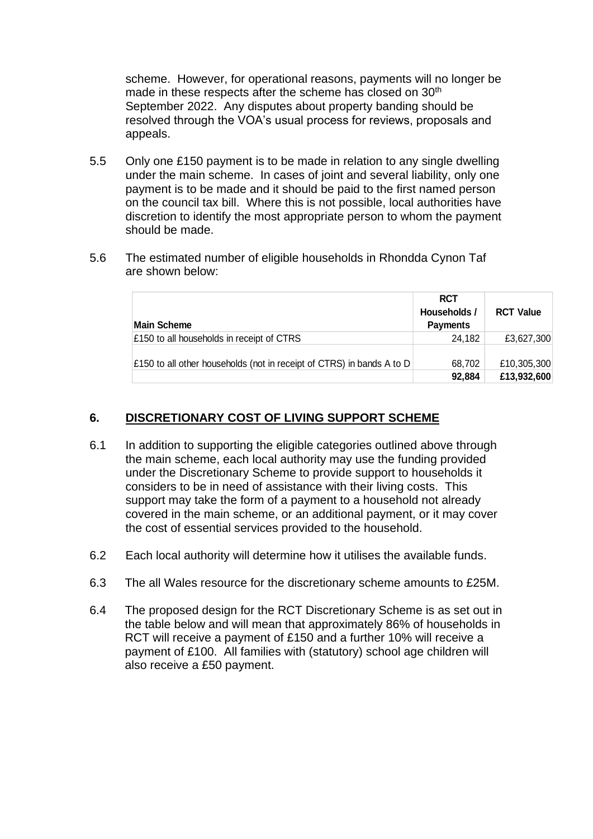scheme. However, for operational reasons, payments will no longer be made in these respects after the scheme has closed on 30<sup>th</sup> September 2022. Any disputes about property banding should be resolved through the VOA's usual process for reviews, proposals and appeals.

- 5.5 Only one £150 payment is to be made in relation to any single dwelling under the main scheme. In cases of joint and several liability, only one payment is to be made and it should be paid to the first named person on the council tax bill. Where this is not possible, local authorities have discretion to identify the most appropriate person to whom the payment should be made.
- 5.6 The estimated number of eligible households in Rhondda Cynon Taf are shown below:

| Main Scheme                                                           | <b>RCT</b><br>Households /<br><b>Payments</b> | <b>RCT Value</b>           |
|-----------------------------------------------------------------------|-----------------------------------------------|----------------------------|
| £150 to all households in receipt of CTRS                             | 24.182                                        | £3,627,300                 |
| £150 to all other households (not in receipt of CTRS) in bands A to D | 68,702<br>92,884                              | £10,305,300<br>£13,932,600 |

#### **6. DISCRETIONARY COST OF LIVING SUPPORT SCHEME**

- 6.1 In addition to supporting the eligible categories outlined above through the main scheme, each local authority may use the funding provided under the Discretionary Scheme to provide support to households it considers to be in need of assistance with their living costs. This support may take the form of a payment to a household not already covered in the main scheme, or an additional payment, or it may cover the cost of essential services provided to the household.
- 6.2 Each local authority will determine how it utilises the available funds.
- 6.3 The all Wales resource for the discretionary scheme amounts to £25M.
- 6.4 The proposed design for the RCT Discretionary Scheme is as set out in the table below and will mean that approximately 86% of households in RCT will receive a payment of £150 and a further 10% will receive a payment of £100. All families with (statutory) school age children will also receive a £50 payment.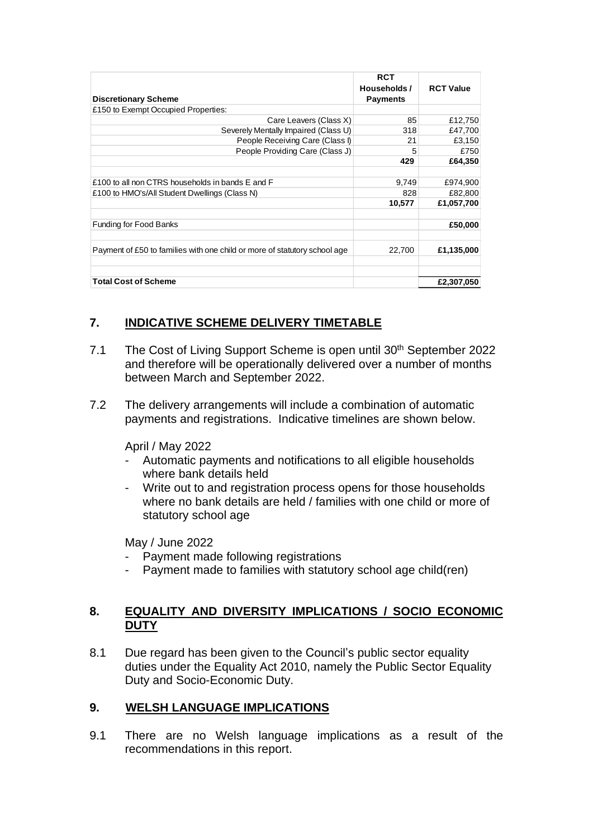|                                                                           | <b>RCT</b><br>Households / | <b>RCT Value</b> |
|---------------------------------------------------------------------------|----------------------------|------------------|
| <b>Discretionary Scheme</b>                                               | <b>Payments</b>            |                  |
| £150 to Exempt Occupied Properties:                                       |                            |                  |
| Care Leavers (Class X)                                                    | 85                         | £12,750          |
| Severely Mentally Impaired (Class U)                                      | 318                        | £47,700          |
| People Receiving Care (Class I)                                           | 21                         | £3,150           |
| People Providing Care (Class J)                                           | 5                          | £750             |
|                                                                           | 429                        | £64,350          |
|                                                                           |                            |                  |
| £100 to all non CTRS households in bands E and F                          | 9,749                      | £974,900         |
| £100 to HMO's/All Student Dwellings (Class N)                             | 828                        | £82,800          |
|                                                                           | 10,577                     | £1,057,700       |
| <b>Funding for Food Banks</b>                                             |                            | £50,000          |
| Payment of £50 to families with one child or more of statutory school age | 22,700                     | £1,135,000       |
| <b>Total Cost of Scheme</b>                                               |                            | £2,307,050       |

# **7. INDICATIVE SCHEME DELIVERY TIMETABLE**

- 7.1 The Cost of Living Support Scheme is open until 30<sup>th</sup> September 2022 and therefore will be operationally delivered over a number of months between March and September 2022.
- 7.2 The delivery arrangements will include a combination of automatic payments and registrations. Indicative timelines are shown below.

April / May 2022

- Automatic payments and notifications to all eligible households where bank details held
- Write out to and registration process opens for those households where no bank details are held / families with one child or more of statutory school age

May / June 2022

- Payment made following registrations
- Payment made to families with statutory school age child(ren)

## **8. EQUALITY AND DIVERSITY IMPLICATIONS / SOCIO ECONOMIC DUTY**

8.1 Due regard has been given to the Council's public sector equality duties under the Equality Act 2010, namely the Public Sector Equality Duty and Socio-Economic Duty.

## **9. WELSH LANGUAGE IMPLICATIONS**

9.1 There are no Welsh language implications as a result of the recommendations in this report.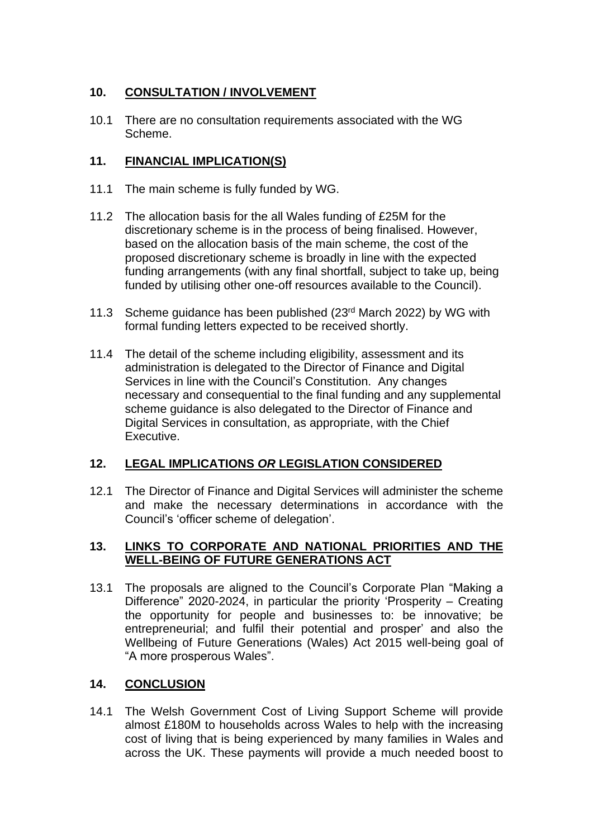## **10. CONSULTATION / INVOLVEMENT**

10.1 There are no consultation requirements associated with the WG Scheme.

## **11. FINANCIAL IMPLICATION(S)**

- 11.1 The main scheme is fully funded by WG.
- 11.2 The allocation basis for the all Wales funding of £25M for the discretionary scheme is in the process of being finalised. However, based on the allocation basis of the main scheme, the cost of the proposed discretionary scheme is broadly in line with the expected funding arrangements (with any final shortfall, subject to take up, being funded by utilising other one-off resources available to the Council).
- 11.3 Scheme guidance has been published (23<sup>rd</sup> March 2022) by WG with formal funding letters expected to be received shortly.
- 11.4 The detail of the scheme including eligibility, assessment and its administration is delegated to the Director of Finance and Digital Services in line with the Council's Constitution. Any changes necessary and consequential to the final funding and any supplemental scheme guidance is also delegated to the Director of Finance and Digital Services in consultation, as appropriate, with the Chief Executive.

## **12. LEGAL IMPLICATIONS** *OR* **LEGISLATION CONSIDERED**

12.1 The Director of Finance and Digital Services will administer the scheme and make the necessary determinations in accordance with the Council's 'officer scheme of delegation'.

#### **13. LINKS TO CORPORATE AND NATIONAL PRIORITIES AND THE WELL-BEING OF FUTURE GENERATIONS ACT**

13.1 The proposals are aligned to the Council's Corporate Plan "Making a Difference" 2020-2024, in particular the priority 'Prosperity – Creating the opportunity for people and businesses to: be innovative; be entrepreneurial; and fulfil their potential and prosper' and also the Wellbeing of Future Generations (Wales) Act 2015 well-being goal of "A more prosperous Wales".

## **14. CONCLUSION**

14.1 The Welsh Government Cost of Living Support Scheme will provide almost £180M to households across Wales to help with the increasing cost of living that is being experienced by many families in Wales and across the UK. These payments will provide a much needed boost to